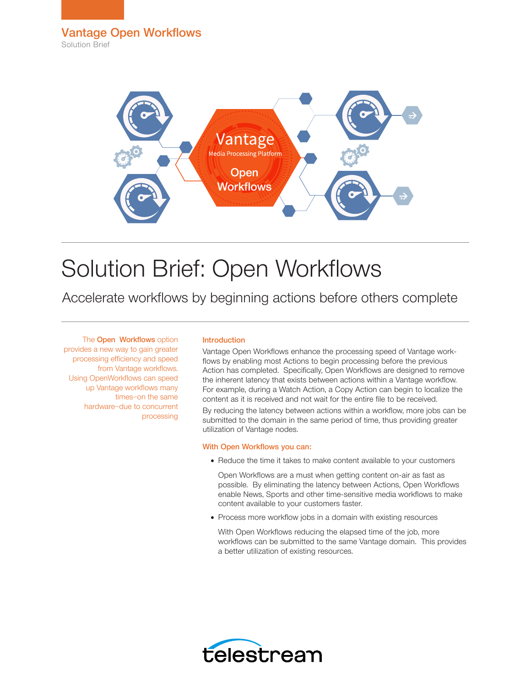

# Solution Brief: Open Workflows

Accelerate workflows by beginning actions before others complete

The **Open Workflows** option provides a new way to gain greater processing efficiency and speed from Vantage workflows. Using OpenWorkflows can speed up Vantage workflows many times—on the same hardware—due to concurrent processing

# Introduction

Vantage Open Workflows enhance the processing speed of Vantage workflows by enabling most Actions to begin processing before the previous Action has completed. Specifically, Open Workflows are designed to remove the inherent latency that exists between actions within a Vantage workflow. For example, during a Watch Action, a Copy Action can begin to localize the content as it is received and not wait for the entire file to be received. By reducing the latency between actions within a workflow, more jobs can be submitted to the domain in the same period of time, thus providing greater utilization of Vantage nodes.

## With Open Workflows you can:

• Reduce the time it takes to make content available to your customers

Open Workflows are a must when getting content on-air as fast as possible. By eliminating the latency between Actions, Open Workflows enable News, Sports and other time-sensitive media workflows to make content available to your customers faster.

- Process more workflow jobs in a domain with existing resources
- With Open Workflows reducing the elapsed time of the job, more workflows can be submitted to the same Vantage domain. This provides a better utilization of existing resources.

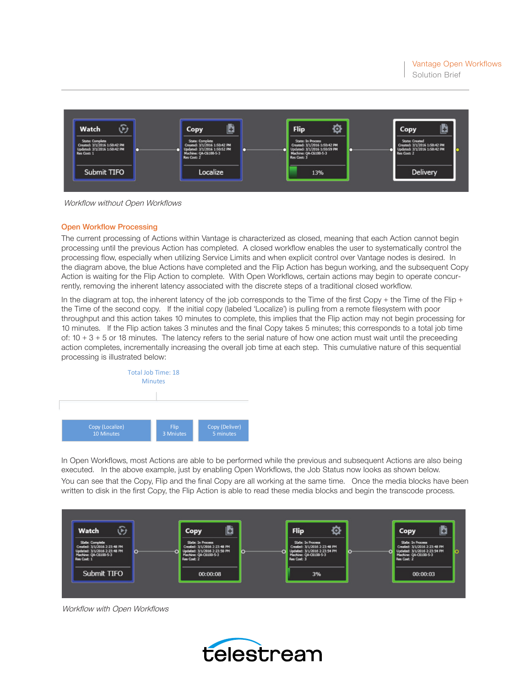

Workflow without Open Workflows

## Open Workflow Processing

The current processing of Actions within Vantage is characterized as closed, meaning that each Action cannot begin processing until the previous Action has completed. A closed workflow enables the user to systematically control the processing flow, especially when utilizing Service Limits and when explicit control over Vantage nodes is desired. In the diagram above, the blue Actions have completed and the Flip Action has begun working, and the subsequent Copy Action is waiting for the Flip Action to complete. With Open Workflows, certain actions may begin to operate concurrently, removing the inherent latency associated with the discrete steps of a traditional closed workflow.

In the diagram at top, the inherent latency of the job corresponds to the Time of the first Copy + the Time of the Flip + the Time of the second copy. If the initial copy (labeled 'Localize') is pulling from a remote filesystem with poor throughput and this action takes 10 minutes to complete, this implies that the Flip action may not begin processing for 10 minutes. If the Flip action takes 3 minutes and the final Copy takes 5 minutes; this corresponds to a total job time of:  $10 + 3 + 5$  or 18 minutes. The latency refers to the serial nature of how one action must wait until the preceeding action completes, incrementally increasing the overall job time at each step. This cumulative nature of this sequential processing is illustrated below:



In Open Workflows, most Actions are able to be performed while the previous and subsequent Actions are also being executed. In the above example, just by enabling Open Workflows, the Job Status now looks as shown below. You can see that the Copy, Flip and the final Copy are all working at the same time. Once the media blocks have been written to disk in the first Copy, the Flip Action is able to read these media blocks and begin the transcode process.



Workflow with Open Workflows